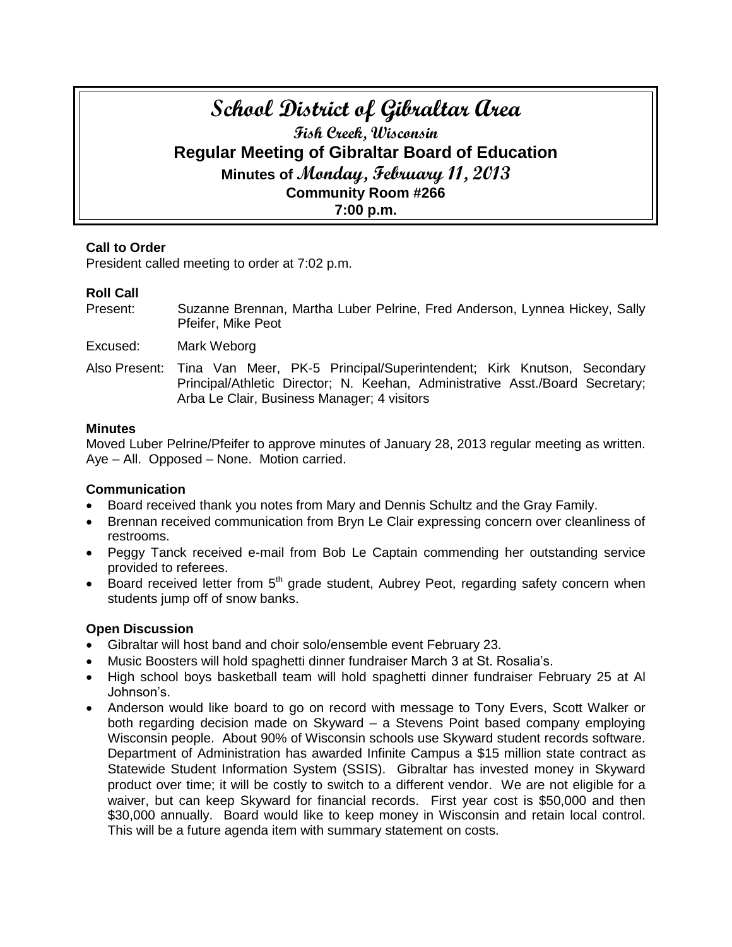# **School District of Gibraltar Area Fish Creek, Wisconsin Regular Meeting of Gibraltar Board of Education Minutes of Monday, February 11, 2013 Community Room #266 7:00 p.m.**

## **Call to Order**

President called meeting to order at 7:02 p.m.

## **Roll Call**

Present: Suzanne Brennan, Martha Luber Pelrine, Fred Anderson, Lynnea Hickey, Sally Pfeifer, Mike Peot

Excused: Mark Weborg

Also Present: Tina Van Meer, PK-5 Principal/Superintendent; Kirk Knutson, Secondary Principal/Athletic Director; N. Keehan, Administrative Asst./Board Secretary; Arba Le Clair, Business Manager; 4 visitors

#### **Minutes**

Moved Luber Pelrine/Pfeifer to approve minutes of January 28, 2013 regular meeting as written. Aye – All. Opposed – None. Motion carried.

## **Communication**

- Board received thank you notes from Mary and Dennis Schultz and the Gray Family.
- Brennan received communication from Bryn Le Clair expressing concern over cleanliness of restrooms.
- Peggy Tanck received e-mail from Bob Le Captain commending her outstanding service provided to referees.
- **Board received letter from 5<sup>th</sup> grade student, Aubrey Peot, regarding safety concern when** students jump off of snow banks.

## **Open Discussion**

- Gibraltar will host band and choir solo/ensemble event February 23.
- Music Boosters will hold spaghetti dinner fundraiser March 3 at St. Rosalia's.
- High school boys basketball team will hold spaghetti dinner fundraiser February 25 at Al Johnson's.
- Anderson would like board to go on record with message to Tony Evers, Scott Walker or both regarding decision made on Skyward – a Stevens Point based company employing Wisconsin people. About 90% of Wisconsin schools use Skyward student records software. Department of Administration has awarded Infinite Campus a \$15 million state contract as Statewide Student Information System (SSIS). Gibraltar has invested money in Skyward product over time; it will be costly to switch to a different vendor. We are not eligible for a waiver, but can keep Skyward for financial records. First year cost is \$50,000 and then \$30,000 annually. Board would like to keep money in Wisconsin and retain local control. This will be a future agenda item with summary statement on costs.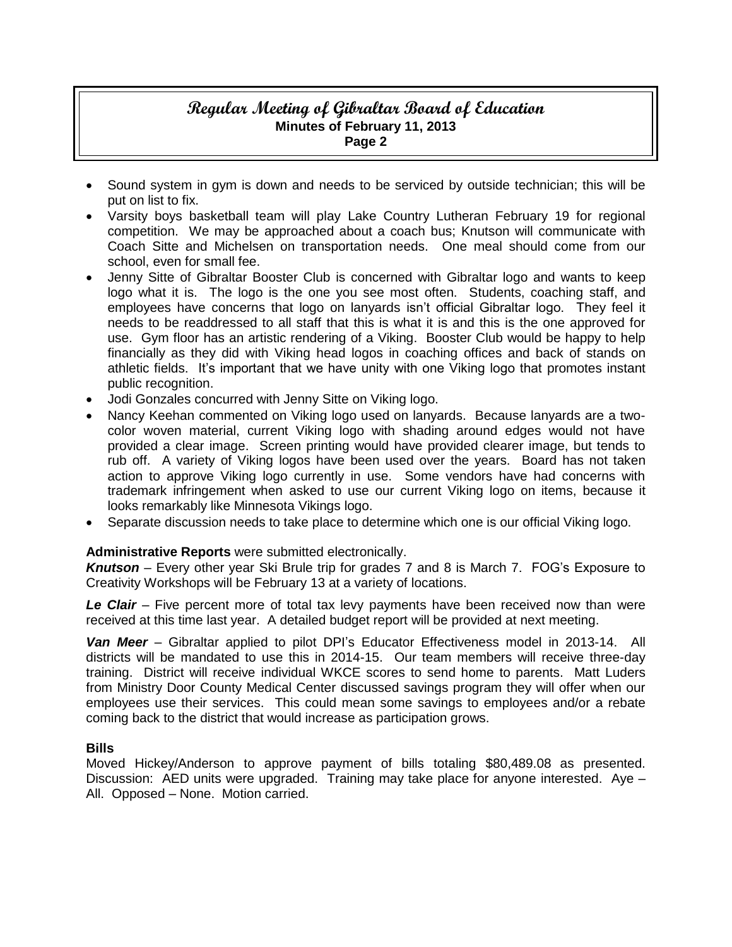# **Regular Meeting of Gibraltar Board of Education Minutes of February 11, 2013 Page 2**

- Sound system in gym is down and needs to be serviced by outside technician; this will be put on list to fix.
- Varsity boys basketball team will play Lake Country Lutheran February 19 for regional competition. We may be approached about a coach bus; Knutson will communicate with Coach Sitte and Michelsen on transportation needs. One meal should come from our school, even for small fee.
- Jenny Sitte of Gibraltar Booster Club is concerned with Gibraltar logo and wants to keep logo what it is. The logo is the one you see most often. Students, coaching staff, and employees have concerns that logo on lanyards isn't official Gibraltar logo. They feel it needs to be readdressed to all staff that this is what it is and this is the one approved for use. Gym floor has an artistic rendering of a Viking. Booster Club would be happy to help financially as they did with Viking head logos in coaching offices and back of stands on athletic fields. It's important that we have unity with one Viking logo that promotes instant public recognition.
- Jodi Gonzales concurred with Jenny Sitte on Viking logo.
- Nancy Keehan commented on Viking logo used on lanyards. Because lanyards are a twocolor woven material, current Viking logo with shading around edges would not have provided a clear image. Screen printing would have provided clearer image, but tends to rub off. A variety of Viking logos have been used over the years. Board has not taken action to approve Viking logo currently in use. Some vendors have had concerns with trademark infringement when asked to use our current Viking logo on items, because it looks remarkably like Minnesota Vikings logo.
- Separate discussion needs to take place to determine which one is our official Viking logo.

# **Administrative Reports** were submitted electronically.

*Knutson* – Every other year Ski Brule trip for grades 7 and 8 is March 7. FOG's Exposure to Creativity Workshops will be February 13 at a variety of locations.

*Le Clair* – Five percent more of total tax levy payments have been received now than were received at this time last year. A detailed budget report will be provided at next meeting.

*Van Meer* – Gibraltar applied to pilot DPI's Educator Effectiveness model in 2013-14. All districts will be mandated to use this in 2014-15. Our team members will receive three-day training. District will receive individual WKCE scores to send home to parents. Matt Luders from Ministry Door County Medical Center discussed savings program they will offer when our employees use their services. This could mean some savings to employees and/or a rebate coming back to the district that would increase as participation grows.

## **Bills**

Moved Hickey/Anderson to approve payment of bills totaling \$80,489.08 as presented. Discussion: AED units were upgraded. Training may take place for anyone interested. Aye – All. Opposed – None. Motion carried.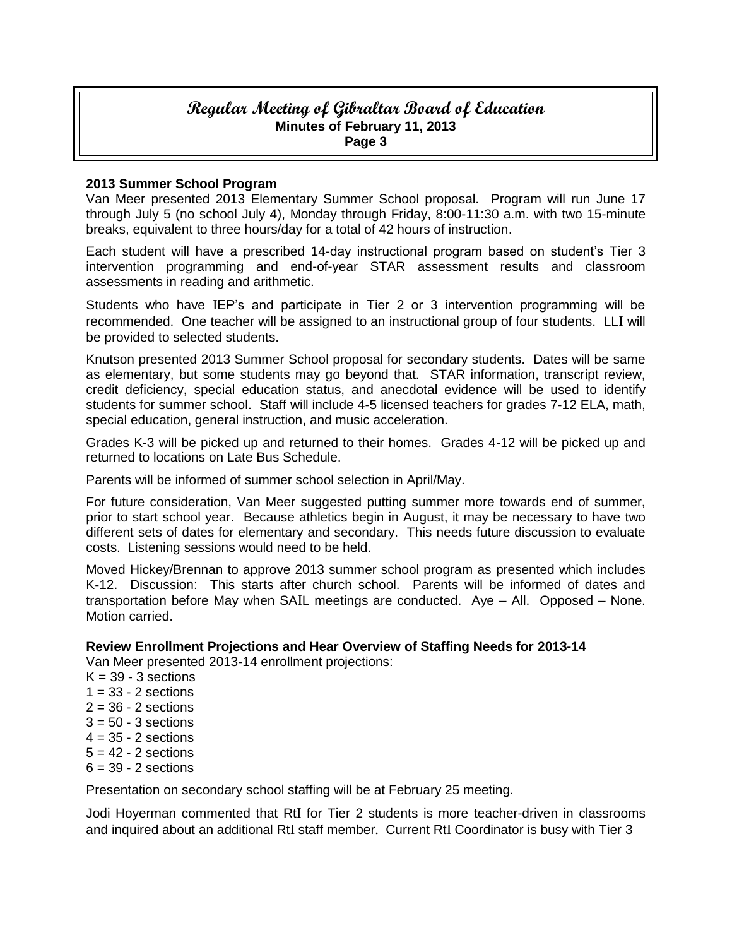## **Regular Meeting of Gibraltar Board of Education Minutes of February 11, 2013 Page 3**

#### **2013 Summer School Program**

Van Meer presented 2013 Elementary Summer School proposal. Program will run June 17 through July 5 (no school July 4), Monday through Friday, 8:00-11:30 a.m. with two 15-minute breaks, equivalent to three hours/day for a total of 42 hours of instruction.

Each student will have a prescribed 14-day instructional program based on student's Tier 3 intervention programming and end-of-year STAR assessment results and classroom assessments in reading and arithmetic.

Students who have IEP's and participate in Tier 2 or 3 intervention programming will be recommended. One teacher will be assigned to an instructional group of four students. LLI will be provided to selected students.

Knutson presented 2013 Summer School proposal for secondary students. Dates will be same as elementary, but some students may go beyond that. STAR information, transcript review, credit deficiency, special education status, and anecdotal evidence will be used to identify students for summer school. Staff will include 4-5 licensed teachers for grades 7-12 ELA, math, special education, general instruction, and music acceleration.

Grades K-3 will be picked up and returned to their homes. Grades 4-12 will be picked up and returned to locations on Late Bus Schedule.

Parents will be informed of summer school selection in April/May.

For future consideration, Van Meer suggested putting summer more towards end of summer, prior to start school year. Because athletics begin in August, it may be necessary to have two different sets of dates for elementary and secondary. This needs future discussion to evaluate costs. Listening sessions would need to be held.

Moved Hickey/Brennan to approve 2013 summer school program as presented which includes K-12. Discussion: This starts after church school. Parents will be informed of dates and transportation before May when SAIL meetings are conducted. Aye – All. Opposed – None. Motion carried.

## **Review Enrollment Projections and Hear Overview of Staffing Needs for 2013-14**

Van Meer presented 2013-14 enrollment projections:

 $K = 39 - 3$  sections  $1 = 33 - 2$  sections  $2 = 36 - 2$  sections  $3 = 50 - 3$  sections  $4 = 35 - 2$  sections  $5 = 42 - 2$  sections  $6 = 39 - 2$  sections

Presentation on secondary school staffing will be at February 25 meeting.

Jodi Hoyerman commented that RtI for Tier 2 students is more teacher-driven in classrooms and inquired about an additional RtI staff member. Current RtI Coordinator is busy with Tier 3